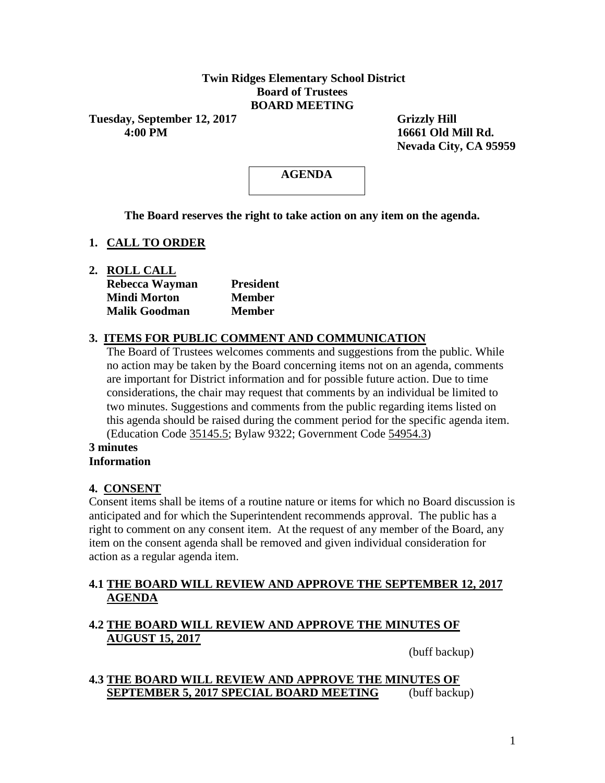## **Twin Ridges Elementary School District Board of Trustees BOARD MEETING**

Tuesday, September 12, 2017 Grizzly Hill  **4:00 PM 16661 Old Mill Rd.**

 **Nevada City, CA 95959**

# **AGENDA**

**The Board reserves the right to take action on any item on the agenda.**

# **1. CALL TO ORDER**

**2. ROLL CALL**

| Rebecca Wayman       | <b>President</b> |  |  |  |
|----------------------|------------------|--|--|--|
| Mindi Morton         | <b>Member</b>    |  |  |  |
| <b>Malik Goodman</b> | <b>Member</b>    |  |  |  |

# **3. ITEMS FOR PUBLIC COMMENT AND COMMUNICATION**

The Board of Trustees welcomes comments and suggestions from the public. While no action may be taken by the Board concerning items not on an agenda, comments are important for District information and for possible future action. Due to time considerations, the chair may request that comments by an individual be limited to two minutes. Suggestions and comments from the public regarding items listed on this agenda should be raised during the comment period for the specific agenda item. (Education Code 35145.5; Bylaw 9322; Government Code 54954.3)

#### **3 minutes Information**

# **4. CONSENT**

Consent items shall be items of a routine nature or items for which no Board discussion is anticipated and for which the Superintendent recommends approval. The public has a right to comment on any consent item. At the request of any member of the Board, any item on the consent agenda shall be removed and given individual consideration for action as a regular agenda item.

## **4.1 THE BOARD WILL REVIEW AND APPROVE THE SEPTEMBER 12, 2017 AGENDA**

# **4.2 THE BOARD WILL REVIEW AND APPROVE THE MINUTES OF AUGUST 15, 2017**

(buff backup)

# **4.3 THE BOARD WILL REVIEW AND APPROVE THE MINUTES OF SEPTEMBER 5, 2017 SPECIAL BOARD MEETING** (buff backup)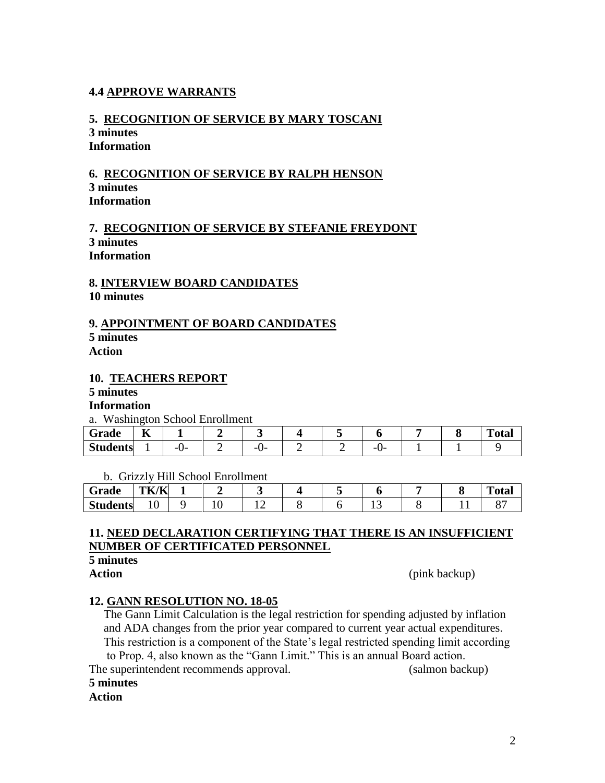# **4.4 APPROVE WARRANTS**

# **5. RECOGNITION OF SERVICE BY MARY TOSCANI**

#### **3 minutes Information**

## **6. RECOGNITION OF SERVICE BY RALPH HENSON 3 minutes Information**

## **7. RECOGNITION OF SERVICE BY STEFANIE FREYDONT 3 minutes Information**

## **8. INTERVIEW BOARD CANDIDATES 10 minutes**

# **9. APPOINTMENT OF BOARD CANDIDATES**

**5 minutes** 

**Action**

## **10. TEACHERS REPORT**

# **5 minutes**

# **Information**

a. Washington School Enrollment

| Grade           | $-$<br>n |            |          |  |          |  | $T_{\rm{c}}$<br>''otar |
|-----------------|----------|------------|----------|--|----------|--|------------------------|
| <b>Students</b> |          | - 1<br>. . | --<br>._ |  | -<br>. . |  |                        |

b. Grizzly Hill School Enrollment

| Grade           | TK/K         |  |  |       |  | $\mathbf{r}$<br>`otal |
|-----------------|--------------|--|--|-------|--|-----------------------|
| <b>Students</b> | $\sim$<br>ΙV |  |  | . . J |  |                       |

# **11. NEED DECLARATION CERTIFYING THAT THERE IS AN INSUFFICIENT NUMBER OF CERTIFICATED PERSONNEL**

# **5 minutes**

**Action** (pink backup)

# **12. GANN RESOLUTION NO. 18-05**

 The Gann Limit Calculation is the legal restriction for spending adjusted by inflation and ADA changes from the prior year compared to current year actual expenditures. This restriction is a component of the State's legal restricted spending limit according

to Prop. 4, also known as the "Gann Limit." This is an annual Board action.

The superintendent recommends approval. (salmon backup) **5 minutes**

# **Action**